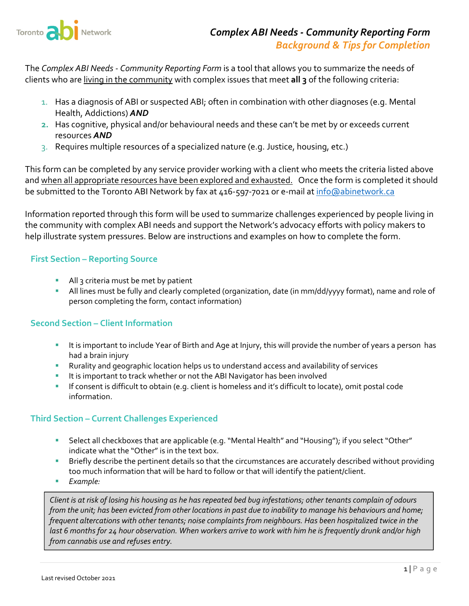

The *Complex ABI Needs ‐ Community Reporting Form* is a tool that allows you to summarize the needs of clients who are living in the community with complex issues that meet **all 3** of the following criteria:

- 1. Has a diagnosis of ABI or suspected ABI; often in combination with other diagnoses (e.g. Mental Health, Addictions) *AND*
- **2.** Has cognitive, physical and/or behavioural needs and these can't be met by or exceeds current resources *AND*
- 3. Requires multiple resources of a specialized nature (e.g. Justice, housing, etc.)

This form can be completed by any service provider working with a client who meets the criteria listed above and when all appropriate resources have been explored and exhausted. Once the form is completed it should be submitted to the Toronto ABI Network by fax at 416-597-7021 or e-mail at info@abinetwork.ca

Information reported through this form will be used to summarize challenges experienced by people living in the community with complex ABI needs and support the Network's advocacy efforts with policy makers to help illustrate system pressures. Below are instructions and examples on how to complete the form.

### **First Section – Reporting Source**

- All 3 criteria must be met by patient
- All lines must be fully and clearly completed (organization, date (in mm/dd/yyyy format), name and role of person completing the form, contact information)

# **Second Section – Client Information**

- It is important to include Year of Birth and Age at Injury, this will provide the number of years a person has had a brain injury
- Rurality and geographic location helps us to understand access and availability of services
- It is important to track whether or not the ABI Navigator has been involved
- If consent is difficult to obtain (e.g. client is homeless and it's difficult to locate), omit postal code information.

# **Third Section – Current Challenges Experienced**

- Select all checkboxes that are applicable (e.g. "Mental Health" and "Housing"); if you select "Other" indicate what the "Other" is in the text box.
- **Briefly describe the pertinent details so that the circumstances are accurately described without providing** too much information that will be hard to follow or that will identify the patient/client.
- *Example:*

Client is at risk of losing his housing as he has repeated bed bug infestations; other tenants complain of odours from the unit; has been evicted from other locations in past due to inability to manage his behaviours and home; *frequent altercations with other tenants; noise complaints from neighbours. Has been hospitalized twice in the* last 6 months for 24 hour observation. When workers arrive to work with him he is frequently drunk and/or high *from cannabis use and refuses entry.*